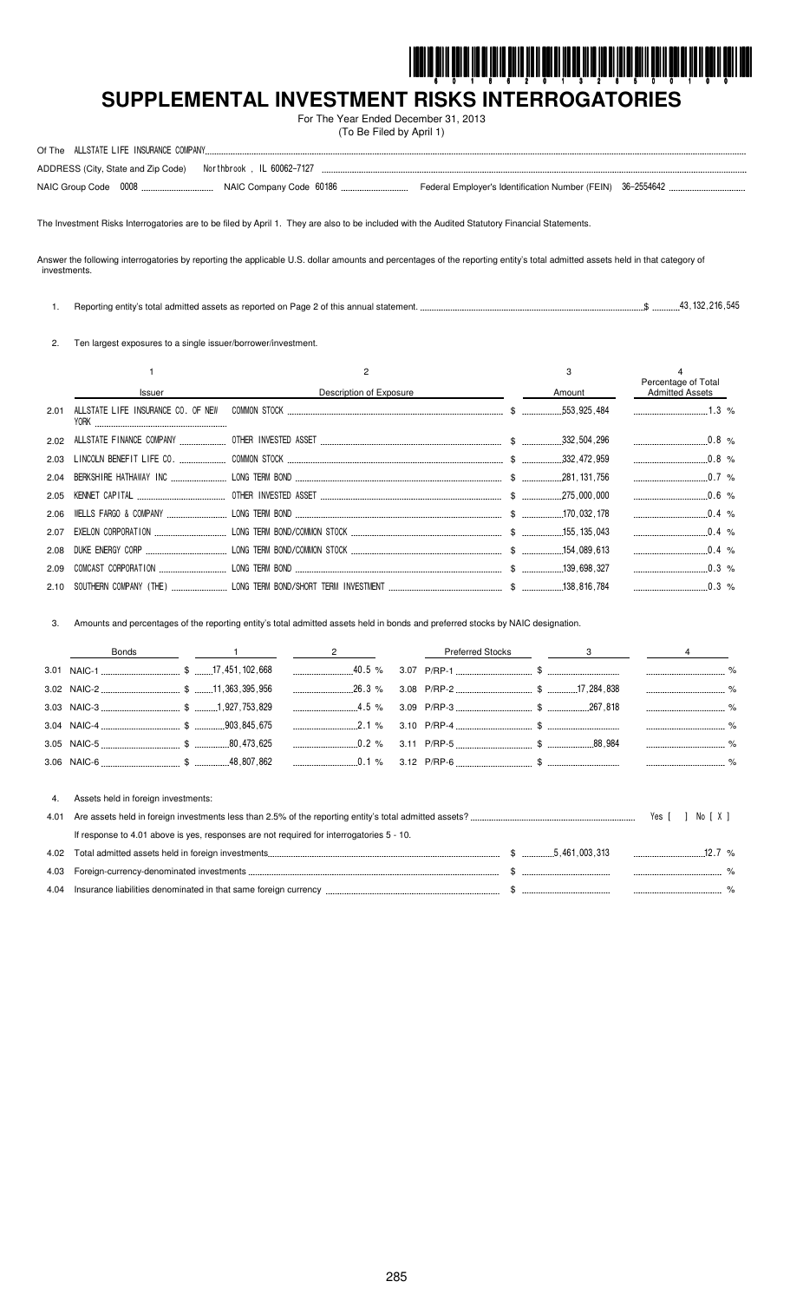

# SUPPLEMENTAL INVESTMENT RISKS INTERROGATORIES

For The Year Ended December 31, 2013 (To Be Filed by April 1)

| Of The ALLSTATE LIFE INSURANCE COMPANY.                      |  |  |
|--------------------------------------------------------------|--|--|
| ADDRESS (City, State and Zip Code) Northbrook, IL 60062-7127 |  |  |
|                                                              |  |  |

The Investment Risks Interrogatories are to be filed by April 1. They are also to be included with the Audited Statutory Financial Statements.

Answer the following interrogatories by reporting the applicable U.S. dollar amounts and percentages of the reporting entity's total admitted assets held in that category of investments.

 $$$   $$$   $$$   $132.216.545$ 1. Reporting entity's total admitted assets as reported on Page 2 of this annual statement.

2. Ten largest exposures to a single issuer/borrower/investment.

|      |                             |                                                      | 3           | Percentage of Total    |  |
|------|-----------------------------|------------------------------------------------------|-------------|------------------------|--|
|      | <b>Issuer</b>               | Description of Exposure                              | Amount      | <b>Admitted Assets</b> |  |
| 2.01 | Y0RK                        |                                                      |             | $1.3\%$                |  |
|      |                             |                                                      |             |                        |  |
| 2.03 |                             |                                                      |             | $0.8\%$                |  |
|      |                             |                                                      |             | $0.7\%$                |  |
| 2.05 |                             |                                                      |             |                        |  |
|      |                             |                                                      |             |                        |  |
| 2.07 |                             |                                                      |             | $0.4\%$                |  |
| 2.08 |                             |                                                      |             | $0.4\%$                |  |
| 2.09 |                             |                                                      |             |                        |  |
|      | 2 10 SOUTHERN COMPANY (THE) | LONG TERM BOND/SHORT TERM INVESTMENT<br>$\mathbb{R}$ | 138 816 784 | $0.3\%$                |  |

3. Amounts and percentages of the reporting entity's total admitted assets held in bonds and preferred stocks by NAIC designation.

|      | <b>Bonds</b>                                                                             | $\overline{\mathbf{c}}$ | <b>Preferred Stocks</b> | 3 |          |        |  |
|------|------------------------------------------------------------------------------------------|-------------------------|-------------------------|---|----------|--------|--|
|      |                                                                                          |                         |                         |   |          |        |  |
|      |                                                                                          |                         |                         |   |          |        |  |
|      |                                                                                          | $4.5\%$                 |                         |   |          |        |  |
|      |                                                                                          |                         |                         |   |          |        |  |
|      |                                                                                          | $0.2\%$                 |                         |   |          |        |  |
|      |                                                                                          |                         |                         |   |          |        |  |
|      |                                                                                          |                         |                         |   |          |        |  |
| 4.   | Assets held in foreign investments:                                                      |                         |                         |   |          |        |  |
| 4.01 |                                                                                          |                         |                         |   |          | No [X] |  |
|      | If response to 4.01 above is yes, responses are not required for interrogatories 5 - 10. |                         |                         |   |          |        |  |
| 4.02 |                                                                                          |                         |                         |   | $12.7\%$ |        |  |
| 4.03 |                                                                                          |                         |                         |   |          |        |  |
| 4.04 |                                                                                          |                         |                         |   |          |        |  |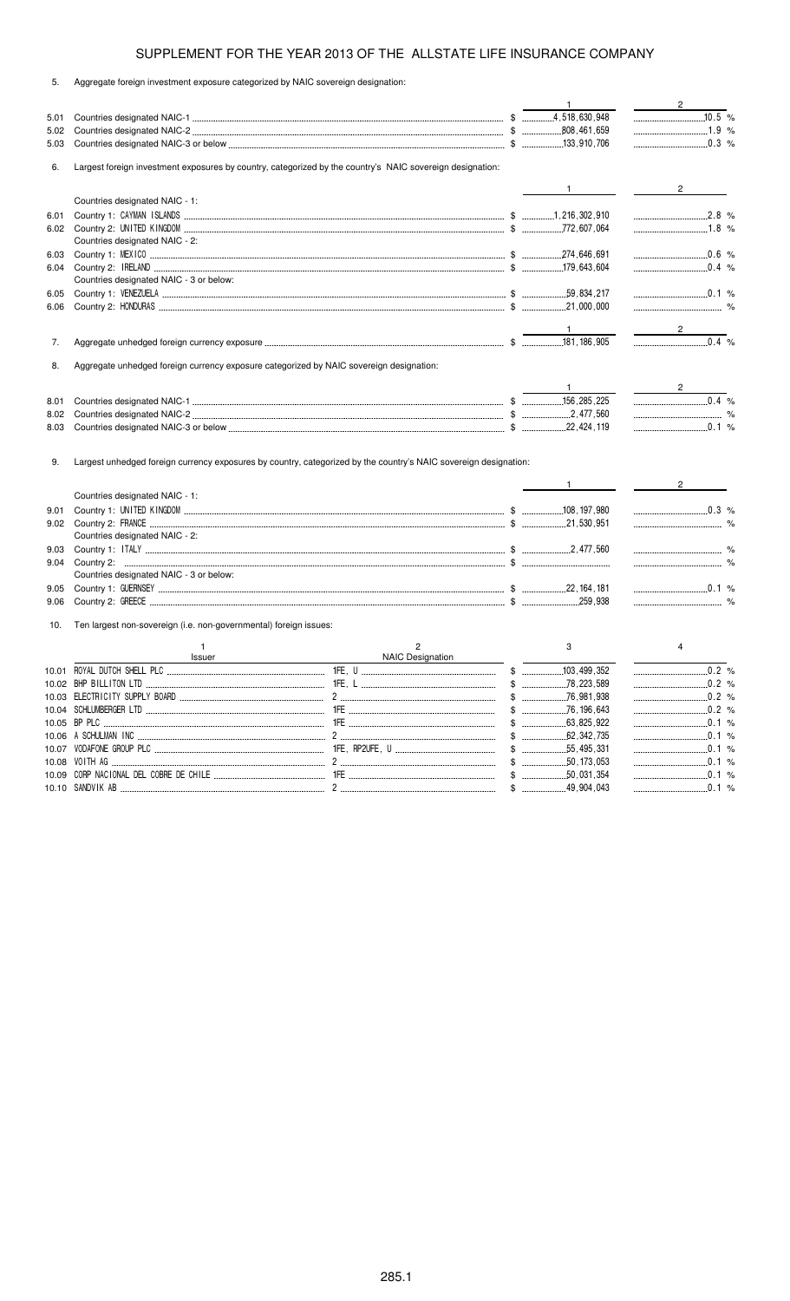5. Aggregate foreign investment exposure categorized by NAIC sovereign designation:

|              |                                                                                                                  |                  | $\mathbf{1}$ | $2^{\circ}$                                                                                                                                                                                                                                                                                                           |
|--------------|------------------------------------------------------------------------------------------------------------------|------------------|--------------|-----------------------------------------------------------------------------------------------------------------------------------------------------------------------------------------------------------------------------------------------------------------------------------------------------------------------|
| 5.01         |                                                                                                                  |                  |              | 10.5 %                                                                                                                                                                                                                                                                                                                |
| 5.02         |                                                                                                                  |                  |              | 1.9 %                                                                                                                                                                                                                                                                                                                 |
| 5.03         |                                                                                                                  |                  |              |                                                                                                                                                                                                                                                                                                                       |
| 6.           | Largest foreign investment exposures by country, categorized by the country's NAIC sovereign designation:        |                  |              |                                                                                                                                                                                                                                                                                                                       |
|              |                                                                                                                  |                  |              | $2 \left( \frac{1}{2} \right)$                                                                                                                                                                                                                                                                                        |
|              | Countries designated NAIC - 1:                                                                                   |                  |              |                                                                                                                                                                                                                                                                                                                       |
| 6.01         |                                                                                                                  |                  |              |                                                                                                                                                                                                                                                                                                                       |
| 6.02         |                                                                                                                  |                  |              |                                                                                                                                                                                                                                                                                                                       |
|              | Countries designated NAIC - 2:                                                                                   |                  |              |                                                                                                                                                                                                                                                                                                                       |
| 6.03         |                                                                                                                  |                  |              | $\frac{1}{2}$ .0.6 %                                                                                                                                                                                                                                                                                                  |
| 6.04         |                                                                                                                  |                  |              |                                                                                                                                                                                                                                                                                                                       |
|              | Countries designated NAIC - 3 or below:                                                                          |                  |              |                                                                                                                                                                                                                                                                                                                       |
| 6.05         |                                                                                                                  |                  |              |                                                                                                                                                                                                                                                                                                                       |
| 6.06         |                                                                                                                  |                  |              |                                                                                                                                                                                                                                                                                                                       |
|              |                                                                                                                  |                  |              |                                                                                                                                                                                                                                                                                                                       |
|              |                                                                                                                  |                  |              | $\overline{0.4}$ %                                                                                                                                                                                                                                                                                                    |
| 7.           |                                                                                                                  |                  |              |                                                                                                                                                                                                                                                                                                                       |
| 8.           | Aggregate unhedged foreign currency exposure categorized by NAIC sovereign designation:                          |                  |              |                                                                                                                                                                                                                                                                                                                       |
|              |                                                                                                                  |                  |              |                                                                                                                                                                                                                                                                                                                       |
|              |                                                                                                                  |                  |              | $0.4\%$                                                                                                                                                                                                                                                                                                               |
| 8.01<br>8.02 |                                                                                                                  |                  |              |                                                                                                                                                                                                                                                                                                                       |
| 8.03         |                                                                                                                  |                  |              | $\ldots$ 0.1 %                                                                                                                                                                                                                                                                                                        |
|              |                                                                                                                  |                  |              |                                                                                                                                                                                                                                                                                                                       |
| 9.           | Largest unhedged foreign currency exposures by country, categorized by the country's NAIC sovereign designation: |                  |              |                                                                                                                                                                                                                                                                                                                       |
|              |                                                                                                                  |                  |              | $2 \left( \frac{1}{2} \right)$                                                                                                                                                                                                                                                                                        |
|              | Countries designated NAIC - 1:                                                                                   |                  |              |                                                                                                                                                                                                                                                                                                                       |
| 9.01         |                                                                                                                  |                  |              | $\begin{array}{ccc}\n&\quad \text{} & \quad \text{} \\ &\quad \text{} & \quad \text{} \\ &\quad \text{} & \quad \text{} \\ &\quad \text{} & \quad \text{}\n\end{array}$                                                                                                                                               |
| 9.02         | Countries designated NAIC - 2:                                                                                   |                  |              |                                                                                                                                                                                                                                                                                                                       |
| 9.03         |                                                                                                                  |                  |              |                                                                                                                                                                                                                                                                                                                       |
| 9.04         |                                                                                                                  |                  |              |                                                                                                                                                                                                                                                                                                                       |
|              | Countries designated NAIC - 3 or below:                                                                          |                  |              |                                                                                                                                                                                                                                                                                                                       |
| 9.05         |                                                                                                                  |                  |              |                                                                                                                                                                                                                                                                                                                       |
| 9.06         |                                                                                                                  |                  |              |                                                                                                                                                                                                                                                                                                                       |
| 10.          | Ten largest non-sovereign (i.e. non-governmental) foreign issues:                                                |                  |              |                                                                                                                                                                                                                                                                                                                       |
|              | $\mathbf{1}$                                                                                                     | $\overline{2}$   | 3            | 4                                                                                                                                                                                                                                                                                                                     |
|              | Issuer                                                                                                           | NAIC Designation |              |                                                                                                                                                                                                                                                                                                                       |
|              |                                                                                                                  |                  |              |                                                                                                                                                                                                                                                                                                                       |
|              |                                                                                                                  |                  |              |                                                                                                                                                                                                                                                                                                                       |
|              |                                                                                                                  |                  |              | $\begin{array}{ccc}\n& 0.2 & \n% \n\\ \n& 0.2 & \n% \n\\ \n& 0.2 & \n% \n\\ \n& 0.2 & \n% \n\\ \n& 0.2 & \n% \n\\ \n& 0.2 & \n% \n\\ \n& 0.2 & \n% \n\\ \n& 0.2 & \n% \n\\ \n& 0.2 & \n% \n\\ \n& 0.2 & \n% \n\\ \n& 0.2 & \n% \n\\ \n& 0.2 & \n% \n\\ \n& 0.2 & \n% \n\\ \n& 0.2 & \n% \n\\ \n& 0.2 & \n% \n\\ \n& $ |
|              |                                                                                                                  |                  |              | $\begin{array}{ccc}\n& 0.2 & \n% \n\\ \n& 0.2 & \n% \n\\ \n& 0.2 & \n% \n\\ \n& 0.2 & \n% \n\\ \n& 0.2 & \n% \n\\ \n& 0.2 & \n% \n\\ \n& 0.2 & \n% \n\\ \n& 0.2 & \n% \n\\ \n& 0.2 & \n% \n\\ \n& 0.2 & \n% \n\\ \n& 0.2 & \n% \n\\ \n& 0.2 & \n% \n\\ \n& 0.2 & \n% \n\\ \n& 0.2 & \n% \n\\ \n& 0.2 & \n% \n\\ \n& $ |
|              |                                                                                                                  |                  |              |                                                                                                                                                                                                                                                                                                                       |
|              |                                                                                                                  |                  |              |                                                                                                                                                                                                                                                                                                                       |
| 10.07        |                                                                                                                  |                  |              | $\ldots$ 0.1 %                                                                                                                                                                                                                                                                                                        |
|              |                                                                                                                  |                  |              |                                                                                                                                                                                                                                                                                                                       |
|              |                                                                                                                  |                  |              | $0.1 \%$                                                                                                                                                                                                                                                                                                              |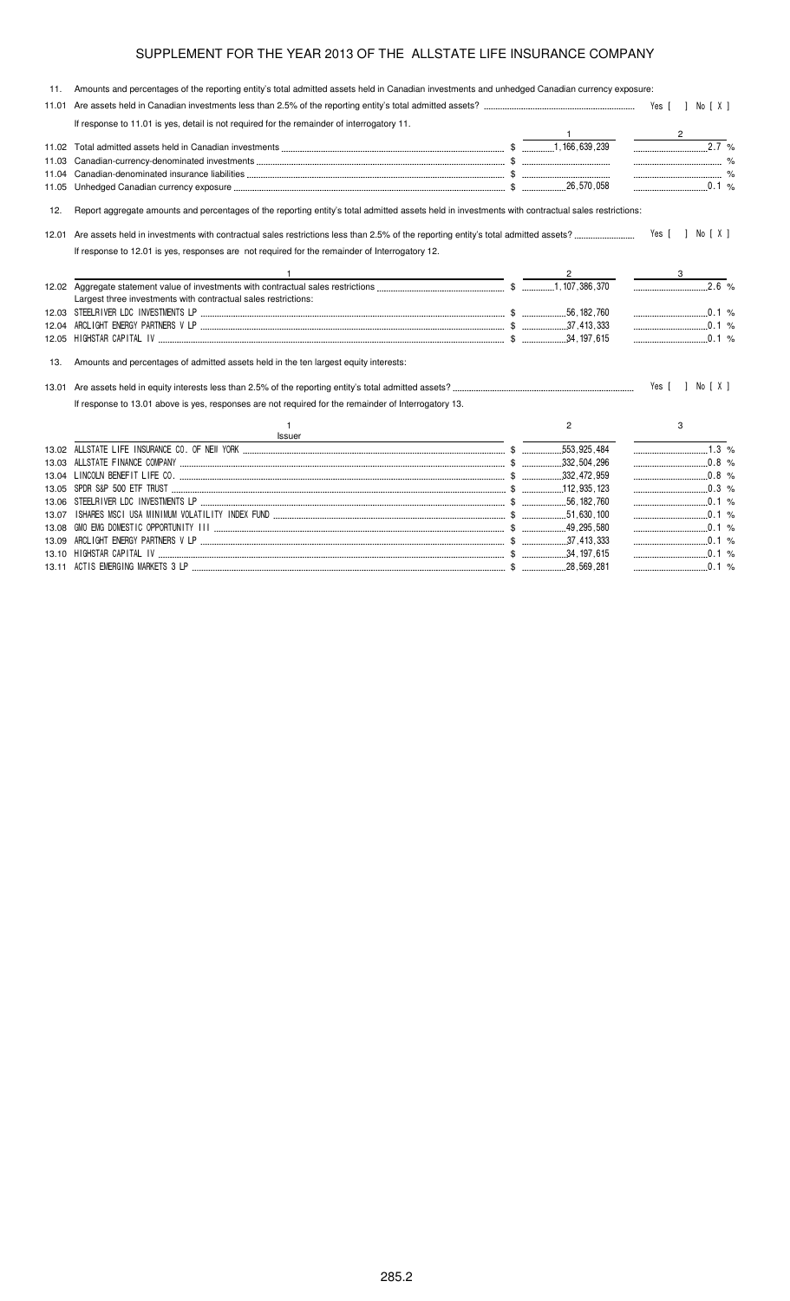| 11.   | Amounts and percentages of the reporting entity's total admitted assets held in Canadian investments and unhedged Canadian currency exposure:     |                      |                                                           |
|-------|---------------------------------------------------------------------------------------------------------------------------------------------------|----------------------|-----------------------------------------------------------|
|       |                                                                                                                                                   |                      |                                                           |
|       | If response to 11.01 is yes, detail is not required for the remainder of interrogatory 11.                                                        |                      |                                                           |
|       |                                                                                                                                                   |                      |                                                           |
|       |                                                                                                                                                   |                      | $2.\overline{7}$ %                                        |
|       |                                                                                                                                                   |                      |                                                           |
|       |                                                                                                                                                   |                      |                                                           |
|       |                                                                                                                                                   |                      |                                                           |
| 12.   | Report aggregate amounts and percentages of the reporting entity's total admitted assets held in investments with contractual sales restrictions: |                      |                                                           |
| 12.01 |                                                                                                                                                   |                      |                                                           |
|       | If response to 12.01 is yes, responses are not required for the remainder of Interrogatory 12.                                                    |                      |                                                           |
|       | <u> 1989 - Johann Barn, amerikansk politiker (</u>                                                                                                | $\frac{2}{\sqrt{2}}$ | $\mathcal{L}^{\text{max}}$ and $\mathcal{L}^{\text{max}}$ |
|       | Largest three investments with contractual sales restrictions:                                                                                    |                      |                                                           |
|       |                                                                                                                                                   |                      | $\ldots$ 0.1 %                                            |
|       |                                                                                                                                                   |                      | $\frac{1}{2}$ 0.1 %                                       |
|       | 12.05 HIGHSTAR CAPITAL IV (12.05 HIGHSTAR CAPITAL IV (1.05)                                                                                       |                      |                                                           |
| 13.   | Amounts and percentages of admitted assets held in the ten largest equity interests:                                                              |                      |                                                           |
|       |                                                                                                                                                   |                      | Yes [ ] No [ X ]                                          |
|       | If response to 13.01 above is yes, responses are not required for the remainder of Interrogatory 13.                                              |                      |                                                           |
|       | Issuer                                                                                                                                            | $\overline{2}$       | 3                                                         |
|       |                                                                                                                                                   |                      | $1.3\%$                                                   |
|       |                                                                                                                                                   |                      | $\ldots$ 0.8 %                                            |
|       |                                                                                                                                                   |                      | $\ldots$ 0.8 %                                            |
|       |                                                                                                                                                   |                      | $\ldots$ 0.3 %                                            |
|       |                                                                                                                                                   |                      | $\ldots$ 0.1 %                                            |
|       |                                                                                                                                                   |                      |                                                           |
|       |                                                                                                                                                   |                      | $\ldots$ 0.1 %                                            |
|       |                                                                                                                                                   |                      |                                                           |

 %

%

13.10 "!" \$ #

13.11 !! ( \$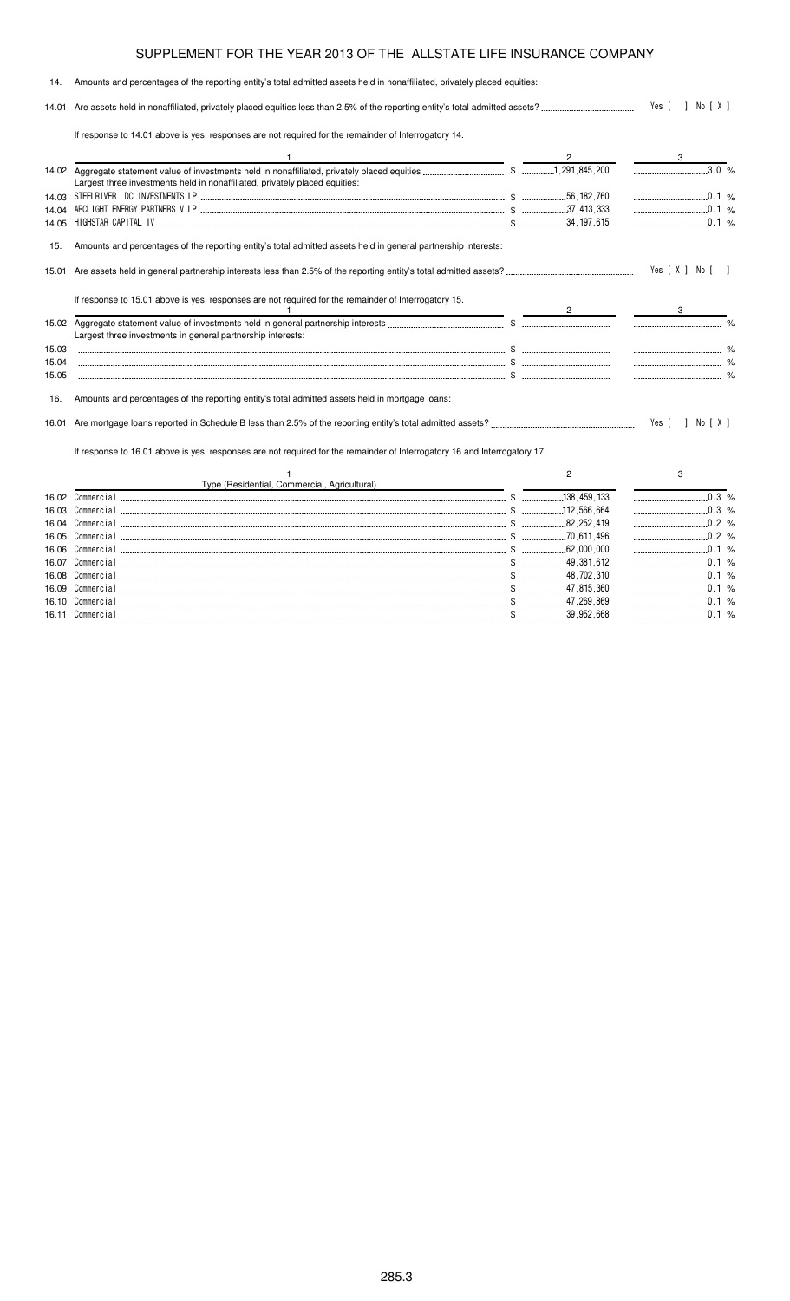14. Amounts and percentages of the reporting entity's total admitted assets held in nonaffiliated, privately placed equities:

14.01 Are assets held in nonaffiliated, privately placed equities less than 2.5% of the reporting entity's total admitted assets? - 

If response to 14.01 above is yes, responses are not required for the remainder of Interrogatory 14.

16.10 Commercial

16.11 Commercial

| $\frac{3.0}{8}$<br>Largest three investments held in nonaffiliated, privately placed equities:<br>0.1 %<br>$\ldots$ 0.1 %<br>14.04<br>$\ldots$ 0.1 %<br>14.05<br>Amounts and percentages of the reporting entity's total admitted assets held in general partnership interests:<br>15.<br>Yes [ X ] No [<br>If response to 15.01 above is yes, responses are not required for the remainder of Interrogatory 15.<br>Largest three investments in general partnership interests:<br>15.03<br>15.04<br>15.05<br>Amounts and percentages of the reporting entity's total admitted assets held in mortgage loans:<br>16. |  |
|----------------------------------------------------------------------------------------------------------------------------------------------------------------------------------------------------------------------------------------------------------------------------------------------------------------------------------------------------------------------------------------------------------------------------------------------------------------------------------------------------------------------------------------------------------------------------------------------------------------------|--|
|                                                                                                                                                                                                                                                                                                                                                                                                                                                                                                                                                                                                                      |  |
|                                                                                                                                                                                                                                                                                                                                                                                                                                                                                                                                                                                                                      |  |
|                                                                                                                                                                                                                                                                                                                                                                                                                                                                                                                                                                                                                      |  |
|                                                                                                                                                                                                                                                                                                                                                                                                                                                                                                                                                                                                                      |  |
|                                                                                                                                                                                                                                                                                                                                                                                                                                                                                                                                                                                                                      |  |
|                                                                                                                                                                                                                                                                                                                                                                                                                                                                                                                                                                                                                      |  |
|                                                                                                                                                                                                                                                                                                                                                                                                                                                                                                                                                                                                                      |  |
|                                                                                                                                                                                                                                                                                                                                                                                                                                                                                                                                                                                                                      |  |
|                                                                                                                                                                                                                                                                                                                                                                                                                                                                                                                                                                                                                      |  |
|                                                                                                                                                                                                                                                                                                                                                                                                                                                                                                                                                                                                                      |  |
|                                                                                                                                                                                                                                                                                                                                                                                                                                                                                                                                                                                                                      |  |
|                                                                                                                                                                                                                                                                                                                                                                                                                                                                                                                                                                                                                      |  |
|                                                                                                                                                                                                                                                                                                                                                                                                                                                                                                                                                                                                                      |  |
| If response to 16.01 above is yes, responses are not required for the remainder of Interrogatory 16 and Interrogatory 17.                                                                                                                                                                                                                                                                                                                                                                                                                                                                                            |  |
| 2<br>3                                                                                                                                                                                                                                                                                                                                                                                                                                                                                                                                                                                                               |  |
| Type (Residential, Commercial, Agricultural)                                                                                                                                                                                                                                                                                                                                                                                                                                                                                                                                                                         |  |
| 16.02                                                                                                                                                                                                                                                                                                                                                                                                                                                                                                                                                                                                                |  |
| 16.03                                                                                                                                                                                                                                                                                                                                                                                                                                                                                                                                                                                                                |  |
| $\frac{1}{2}$ 0.2 %<br>16.04                                                                                                                                                                                                                                                                                                                                                                                                                                                                                                                                                                                         |  |
| 16.05                                                                                                                                                                                                                                                                                                                                                                                                                                                                                                                                                                                                                |  |
| $\ldots$ 0.1 %<br>16.06                                                                                                                                                                                                                                                                                                                                                                                                                                                                                                                                                                                              |  |
| $\ldots$ 0.1 %<br>16.07                                                                                                                                                                                                                                                                                                                                                                                                                                                                                                                                                                                              |  |
| 16.08                                                                                                                                                                                                                                                                                                                                                                                                                                                                                                                                                                                                                |  |
| $\ldots$ 0.1 %                                                                                                                                                                                                                                                                                                                                                                                                                                                                                                                                                                                                       |  |

%&'() \$ 

%&'() \$ 

%

 $0.1 %$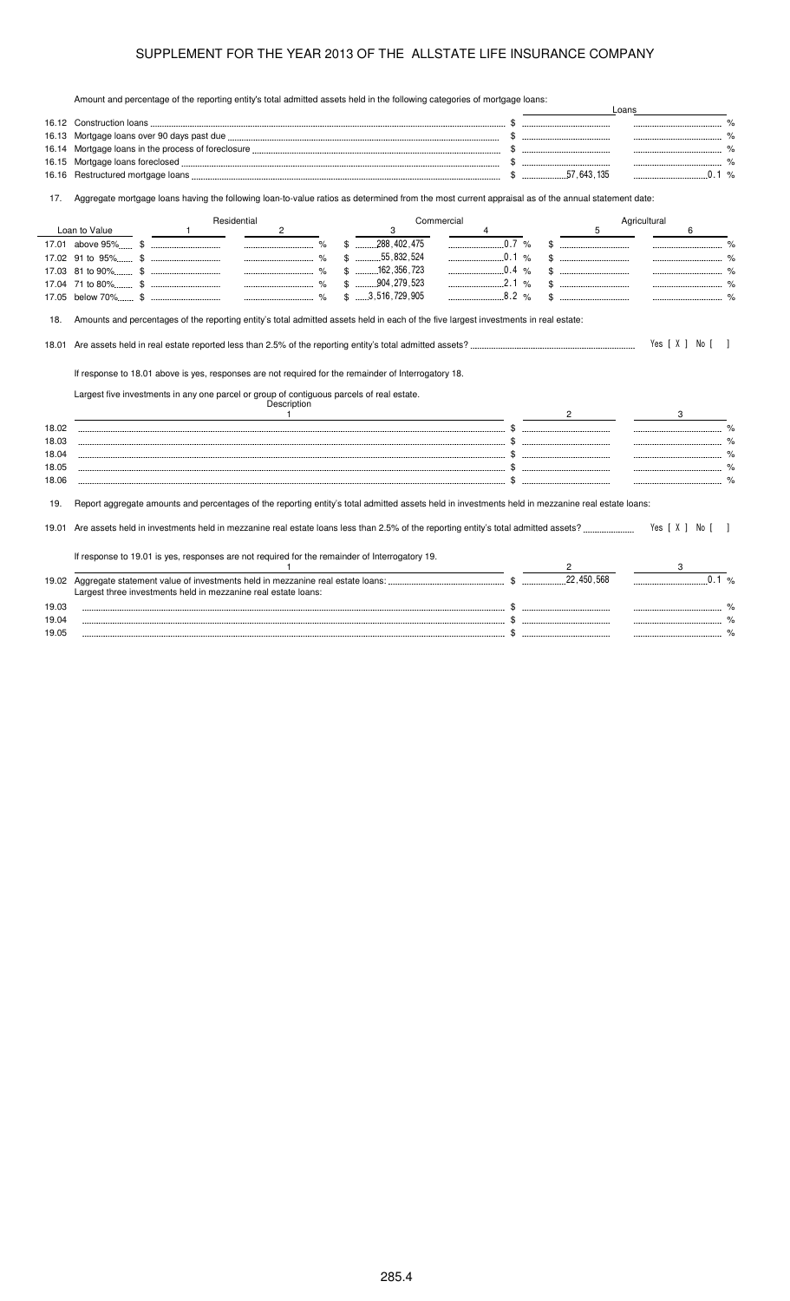Amount and percentage of the reporting entity's total admitted assets held in the following categories of mortgage loans:

|       | Amount and percentage of the reporting entity's total admitted assets held in the following categories of mortgage loans.                                                                                                                                                                                                                                                                                                                                                                                        |                                                                                                                                              |         |                                | Loans            |
|-------|------------------------------------------------------------------------------------------------------------------------------------------------------------------------------------------------------------------------------------------------------------------------------------------------------------------------------------------------------------------------------------------------------------------------------------------------------------------------------------------------------------------|----------------------------------------------------------------------------------------------------------------------------------------------|---------|--------------------------------|------------------|
|       |                                                                                                                                                                                                                                                                                                                                                                                                                                                                                                                  |                                                                                                                                              |         |                                |                  |
| 16.13 |                                                                                                                                                                                                                                                                                                                                                                                                                                                                                                                  |                                                                                                                                              |         |                                |                  |
| 16.14 |                                                                                                                                                                                                                                                                                                                                                                                                                                                                                                                  |                                                                                                                                              |         |                                |                  |
| 16.15 |                                                                                                                                                                                                                                                                                                                                                                                                                                                                                                                  |                                                                                                                                              |         |                                |                  |
| 16.16 |                                                                                                                                                                                                                                                                                                                                                                                                                                                                                                                  |                                                                                                                                              |         |                                |                  |
| 17.   | Aggregate mortgage loans having the following loan-to-value ratios as determined from the most current appraisal as of the annual statement date:                                                                                                                                                                                                                                                                                                                                                                |                                                                                                                                              |         |                                |                  |
|       | Residential                                                                                                                                                                                                                                                                                                                                                                                                                                                                                                      | Commercial                                                                                                                                   |         |                                | Agricultural     |
|       | Loan to Value<br>$\mathbf{2}$<br>$\overline{\phantom{0}}$ $\overline{\phantom{0}}$ $\overline{\phantom{0}}$ $\overline{\phantom{0}}$ $\overline{\phantom{0}}$ $\overline{\phantom{0}}$ $\overline{\phantom{0}}$ $\overline{\phantom{0}}$ $\overline{\phantom{0}}$ $\overline{\phantom{0}}$ $\overline{\phantom{0}}$ $\overline{\phantom{0}}$ $\overline{\phantom{0}}$ $\overline{\phantom{0}}$ $\overline{\phantom{0}}$ $\overline{\phantom{0}}$ $\overline{\phantom{0}}$ $\overline{\phantom{0}}$ $\overline{\$ | 3                                                                                                                                            |         | 5                              | 6                |
|       |                                                                                                                                                                                                                                                                                                                                                                                                                                                                                                                  | $$$ 288.402.475                                                                                                                              | 0.7 %   |                                |                  |
|       |                                                                                                                                                                                                                                                                                                                                                                                                                                                                                                                  | $$$ 55,832,524                                                                                                                               | 0.1 %   |                                |                  |
|       |                                                                                                                                                                                                                                                                                                                                                                                                                                                                                                                  | $$$ 162, 356, 723                                                                                                                            | 0.4 %   |                                |                  |
|       |                                                                                                                                                                                                                                                                                                                                                                                                                                                                                                                  | $$$ 904, 279, 523                                                                                                                            | 2.1 %   |                                |                  |
|       |                                                                                                                                                                                                                                                                                                                                                                                                                                                                                                                  | \$3,516,729,905                                                                                                                              | $8.2\%$ |                                |                  |
|       |                                                                                                                                                                                                                                                                                                                                                                                                                                                                                                                  |                                                                                                                                              |         |                                |                  |
| 18.   | Amounts and percentages of the reporting entity's total admitted assets held in each of the five largest investments in real estate:                                                                                                                                                                                                                                                                                                                                                                             |                                                                                                                                              |         |                                |                  |
|       |                                                                                                                                                                                                                                                                                                                                                                                                                                                                                                                  |                                                                                                                                              |         |                                |                  |
| 18.01 |                                                                                                                                                                                                                                                                                                                                                                                                                                                                                                                  |                                                                                                                                              |         |                                | Yes [ X ] No [ ] |
|       |                                                                                                                                                                                                                                                                                                                                                                                                                                                                                                                  |                                                                                                                                              |         |                                |                  |
|       | If response to 18.01 above is yes, responses are not required for the remainder of Interrogatory 18.                                                                                                                                                                                                                                                                                                                                                                                                             |                                                                                                                                              |         |                                |                  |
|       | Largest five investments in any one parcel or group of contiguous parcels of real estate.                                                                                                                                                                                                                                                                                                                                                                                                                        |                                                                                                                                              |         |                                |                  |
|       | Description                                                                                                                                                                                                                                                                                                                                                                                                                                                                                                      |                                                                                                                                              |         |                                |                  |
|       |                                                                                                                                                                                                                                                                                                                                                                                                                                                                                                                  | $\overline{1}$ , and $\overline{1}$ , and $\overline{1}$ , and $\overline{1}$ , and $\overline{1}$ , and $\overline{1}$ , and $\overline{1}$ |         | $2 \left( \frac{1}{2} \right)$ | 3                |
| 18.02 |                                                                                                                                                                                                                                                                                                                                                                                                                                                                                                                  |                                                                                                                                              |         |                                |                  |
| 18.03 |                                                                                                                                                                                                                                                                                                                                                                                                                                                                                                                  |                                                                                                                                              |         |                                |                  |
| 18.04 |                                                                                                                                                                                                                                                                                                                                                                                                                                                                                                                  |                                                                                                                                              |         |                                |                  |
| 18.05 |                                                                                                                                                                                                                                                                                                                                                                                                                                                                                                                  |                                                                                                                                              |         |                                |                  |
| 18.06 |                                                                                                                                                                                                                                                                                                                                                                                                                                                                                                                  |                                                                                                                                              |         |                                |                  |
|       |                                                                                                                                                                                                                                                                                                                                                                                                                                                                                                                  |                                                                                                                                              |         |                                |                  |
| 19.   | Report aggregate amounts and percentages of the reporting entity's total admitted assets held in investments held in mezzanine real estate loans:                                                                                                                                                                                                                                                                                                                                                                |                                                                                                                                              |         |                                |                  |
|       |                                                                                                                                                                                                                                                                                                                                                                                                                                                                                                                  |                                                                                                                                              |         |                                |                  |
|       |                                                                                                                                                                                                                                                                                                                                                                                                                                                                                                                  |                                                                                                                                              |         |                                | Yes [ X ] No [ ] |
|       |                                                                                                                                                                                                                                                                                                                                                                                                                                                                                                                  |                                                                                                                                              |         |                                |                  |
|       | If response to 19.01 is yes, responses are not required for the remainder of Interrogatory 19.                                                                                                                                                                                                                                                                                                                                                                                                                   |                                                                                                                                              |         |                                |                  |
|       |                                                                                                                                                                                                                                                                                                                                                                                                                                                                                                                  |                                                                                                                                              |         |                                |                  |
|       |                                                                                                                                                                                                                                                                                                                                                                                                                                                                                                                  |                                                                                                                                              |         |                                |                  |
|       | Largest three investments held in mezzanine real estate loans:                                                                                                                                                                                                                                                                                                                                                                                                                                                   |                                                                                                                                              |         |                                |                  |
| 19.03 |                                                                                                                                                                                                                                                                                                                                                                                                                                                                                                                  |                                                                                                                                              |         |                                |                  |
| 19.04 |                                                                                                                                                                                                                                                                                                                                                                                                                                                                                                                  |                                                                                                                                              |         |                                |                  |
| 19.05 |                                                                                                                                                                                                                                                                                                                                                                                                                                                                                                                  |                                                                                                                                              |         |                                |                  |
|       |                                                                                                                                                                                                                                                                                                                                                                                                                                                                                                                  |                                                                                                                                              |         |                                |                  |